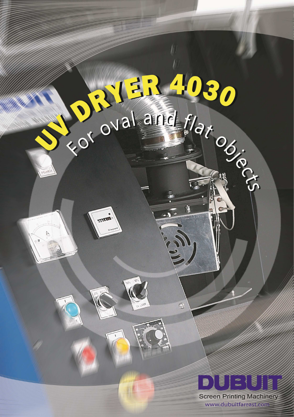